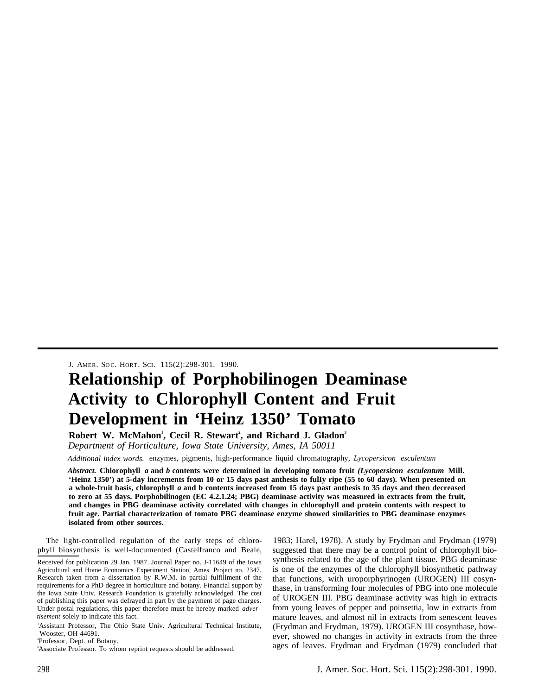J. AMER. SOC. HORT. SCI. 115(2):298-301. 1990.

# **Relationship of Porphobilinogen Deaminase Activity to Chlorophyll Content and Fruit Development in 'Heinz 1350' Tomato**

**Robert W. McMahon<sup>1</sup> , Cecil R. Stewart<sup>2</sup> , and Richard J. Gladon<sup>3</sup>** *Department of Horticulture, Iowa State University, Ames, IA 50011*

*Additional index words.* enzymes, pigments, high-performance liquid chromatography, *Lycopersicon esculentum*

*Abstract.* **Chlorophyll** *a* **and** *b* **contents were determined in developing tomato fruit** *(Lycopersicon esculentum* **Mill. 'Heinz 1350') at 5-day increments from 10 or 15 days past anthesis to fulIy ripe (55 to 60 days). When presented on a whole-fruit basis, chlorophyll** *a* **and b contents increased from 15 days past anthesis to 35 days and then decreased to zero at 55 days. Porphobilinogen (EC 4.2.1.24; PBG) deaminase activity was measured in extracts from the fruit, and changes in PBG deaminase activity correlated with changes in chlorophyll and protein contents with respect to fruit age. Partial characterization of tomato PBG deaminase enzyme showed similarities to PBG deaminase enzymes isolated from other sources.**

The light-controlled regulation of the early steps of chlorophyll biosynthesis is well-documented (Castelfranco and Beale,

<sup>1</sup>Assistant Professor, The Ohio State Univ. Agricultural Technical Institute, Wooster, OH 44691.

2 Professor, Dept. of Botany.

<sup>3</sup>Associate Professor. To whom reprint requests should be addressed.

1983; Harel, 1978). A study by Frydman and Frydman (1979) suggested that there may be a control point of chlorophyll biosynthesis related to the age of the plant tissue. PBG deaminase is one of the enzymes of the chlorophyll biosynthetic pathway that functions, with uroporphyrinogen (UROGEN) III cosynthase, in transforming four molecules of PBG into one molecule of UROGEN III. PBG deaminase activity was high in extracts from young leaves of pepper and poinsettia, low in extracts from mature leaves, and almost nil in extracts from senescent leaves (Frydman and Frydman, 1979). UROGEN III cosynthase, however, showed no changes in activity in extracts from the three ages of leaves. Frydman and Frydman (1979) concluded that

Received for publication 29 Jan. 1987. Journal Paper no. J-11649 of the Iowa Agricultural and Home Economics Experiment Station, Ames. Project no. 2347. Research taken from a dissertation by R.W.M. in partial fulfillment of the requirements for a PhD degree in horticulture and botany. Financial support by the Iowa State Univ. Research Foundation is gratefully acknowledged. The cost of publishing this paper was defrayed in part by the payment of page charges. Under postal regulations, this paper therefore must be hereby marked *advertisement* solely to indicate this fact.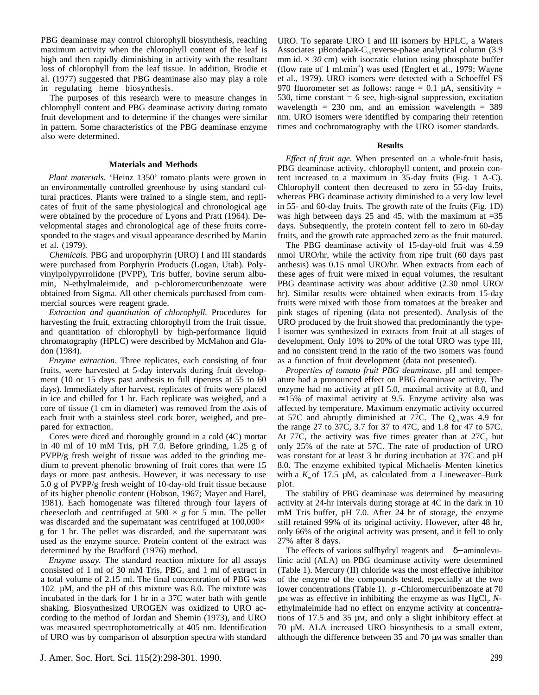PBG deaminase may control chlorophyll biosynthesis, reaching maximum activity when the chlorophyll content of the leaf is high and then rapidly diminishing in activity with the resultant loss of chlorophyll from the leaf tissue. In addition, Brodie et al. (1977) suggested that PBG deaminase also may play a role in regulating heme biosynthesis.

The purposes of this research were to measure changes in chlorophyll content and PBG deaminase activity during tomato fruit development and to determine if the changes were similar in pattern. Some characteristics of the PBG deaminase enzyme also were determined.

## **Materials and Methods**

*Plant materials.* 'Heinz 1350' tomato plants were grown in an environmentally controlled greenhouse by using standard cultural practices. Plants were trained to a single stem, and replicates of fruit of the same physiological and chronological age were obtained by the procedure of Lyons and Pratt (1964). Developmental stages and chronological age of these fruits corresponded to the stages and visual appearance described by Martin et al. (1979).

*Chemicals.* PBG and uroporphyrin (URO) I and III standards were purchased from Porphyrin Products (Logan, Utah). Polyvinylpolypyrrolidone (PVPP), Tris buffer, bovine serum albumin, N-ethylmaleimide, and p-chloromercuribenzoate were obtained from Sigma. All other chemicals purchased from commercial sources were reagent grade.

*Extraction and quantitation of chlorophyll.* Procedures for harvesting the fruit, extracting chlorophyll from the fruit tissue, and quantitation of chlorophyll by high-performance liquid chromatography (HPLC) were described by McMahon and Gladon (1984).

*Enzyme extraction.* Three replicates, each consisting of four fruits, were harvested at 5-day intervals during fruit development (10 or 15 days past anthesis to full ripeness at 55 to 60 days). Immediately after harvest, replicates of fruits were placed in ice and chilled for 1 hr. Each replicate was weighed, and a core of tissue (1 cm in diameter) was removed from the axis of each fruit with a stainless steel cork borer, weighed, and prepared for extraction.

Cores were diced and thoroughly ground in a cold (4C) mortar in 40 ml of 10 mM Tris, pH 7.0. Before grinding, 1.25 g of PVPP/g fresh weight of tissue was added to the grinding medium to prevent phenolic browning of fruit cores that were 15 days or more past anthesis. However, it was necessary to use 5.0 g of PVPP/g fresh weight of 10-day-old fruit tissue because of its higher phenolic content (Hobson, 1967; Mayer and Harel, 1981). Each homogenate was filtered through four layers of cheesecloth and centrifuged at  $500 \times g$  for 5 min. The pellet was discarded and the supernatant was centrifuged at  $100,000 \times$ g for 1 hr. The pellet was discarded, and the supernatant was used as the enzyme source. Protein content of the extract was determined by the Bradford (1976) method.

*Enzyme assay.* The standard reaction mixture for all assays consisted of 1 ml of 30 mM Tris, PBG, and 1 ml of extract in a total volume of 2.15 ml. The final concentration of PBG was 102 µM, and the pH of this mixture was 8.0. The mixture was incubated in the dark for 1 hr in a 37C water bath with gentle shaking. Biosynthesized UROGEN was oxidized to URO according to the method of Jordan and Shemin (1973), and URO was measured spectrophotometrically at 405 nm. Identification of URO was by comparison of absorption spectra with standard URO. To separate URO I and III isomers by HPLC, a Waters Associates  $\mu$ Bondapak-C<sub>18</sub> reverse-phase analytical column (3.9) mm id.  $\times$  30 cm) with isocratic elution using phosphate buffer (flow rate of 1 ml.min<sup> $1$ </sup>) was used (Englert et al., 1979; Wayne et al., 1979). URO isomers were detected with a Schoeffel FS 970 fluorometer set as follows: range =  $0.1 \mu$ A, sensitivity = 530, time constant  $= 6$  see, high-signal suppression, excitation wavelength =  $230$  nm, and an emission wavelength =  $389$ nm. URO isomers were identified by comparing their retention times and cochromatography with the URO isomer standards.

### **Results**

*Effect of fruit age.* When presented on a whole-fruit basis, PBG deaminase activity, chlorophyll content, and protein content increased to a maximum in 35-day fruits (Fig. 1 A-C). Chlorophyll content then decreased to zero in 55-day fruits, whereas PBG deaminase activity diminished to a very low level in 55- and 60-day fruits. The growth rate of the fruits (Fig. 1D) was high between days 25 and 45, with the maximum at  $=35$ days. Subsequently, the protein content fell to zero in 60-day fruits, and the growth rate approached zero as the fruit matured.

The PBG deaminase activity of 15-day-old fruit was 4.59 nmol URO/hr, while the activity from ripe fruit (60 days past anthesis) was 0.15 nmol URO/hr. When extracts from each of these ages of fruit were mixed in equal volumes, the resultant PBG deaminase activity was about additive (2.30 nmol URO/ hr). Similar results were obtained when extracts from 15-day fruits were mixed with those from tomatoes at the breaker and pink stages of ripening (data not presented). Analysis of the URO produced by the fruit showed that predominantly the type-I isomer was synthesized in extracts from fruit at all stages of development. Only 10% to 20% of the total URO was type III, and no consistent trend in the ratio of the two isomers was found as a function of fruit development (data not presented).

*Properties of tomato fruit PBG deaminase.* pH and temperature had a pronounced effect on PBG deaminase activity. The enzyme had no activity at pH 5.0, maximal activity at 8.0, and  $\approx 15\%$  of maximal activity at 9.5. Enzyme activity also was affected by temperature. Maximum enzymatic activity occurred at 57C and abruptly diminished at 77C. The  $Q_{10}$  was 4.9 for the range 27 to 37C, 3.7 for 37 to 47C, and 1.8 for 47 to 57C. At 77C, the activity was five times greater than at 27C, but only 25% of the rate at 57C. The rate of production of URO was constant for at least 3 hr during incubation at 37C and pH 8.0. The enzyme exhibited typical Michaelis–Menten kinetics with a  $K<sub>m</sub>$  of 17.5  $\mu$ M, as calculated from a Lineweaver–Burk plot.

The stability of PBG deaminase was determined by measuring activity at 24-hr intervals during storage at 4C in the dark in 10 mM Tris buffer, pH 7.0. After 24 hr of storage, the enzyme still retained 99% of its original activity. However, after 48 hr, only 66% of the original activity was present, and it fell to only 27% after 8 days.

The effects of various sulfhydryl reagents and δ− aminolevulinic acid (ALA) on PBG deaminase activity were determined (Table 1). Mercury (II) chloride was the most effective inhibitor of the enzyme of the compounds tested, especially at the two lower concentrations (Table 1). *p* -Chloromercuribenzoate at 70 µM was as effective in inhibiting the enzyme as was HgCl<sub>2</sub>. Nethylmaleimide had no effect on enzyme activity at concentrations of 17.5 and 35 µM, and only a slight inhibitory effect at 70 µM. ALA increased URO biosynthesis to a small extent, although the difference between 35 and 70  $\mu$ M was smaller than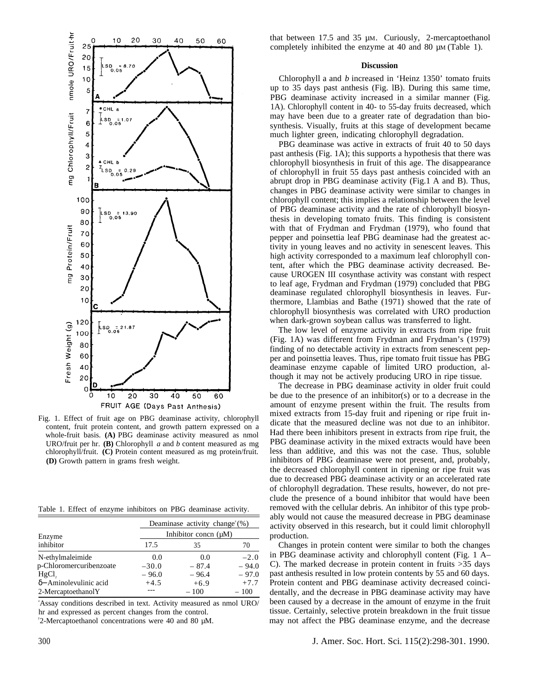

Fig. 1. Effect of fruit age on PBG deaminase activity, chlorophyll content, fruit protein content, and growth pattern expressed on a whole-fruit basis. **(A)** PBG deaminase activity measured as nmol URO/fruit per hr. **(B)** Chlorophyll *a* and *b* content measured as mg chlorophyll/fruit. **(C)** Protein content measured as mg protein/fruit. **(D)** Growth pattern in grams fresh weight.

Table 1. Effect of enzyme inhibitors on PBG deaminase activity.

| Enzyme<br>inhibitor            | Deaminase activity change $(\%)$<br>Inhibitor concn $(\mu M)$ |         |         |
|--------------------------------|---------------------------------------------------------------|---------|---------|
|                                |                                                               |         |         |
|                                | N-ethylmaleimide                                              | 0.0     | 0.0     |
| p-Chloromercuribenzoate        | $-30.0$                                                       | $-87.4$ | $-94.0$ |
| $HgCl$ ,                       | $-96.0$                                                       | $-96.4$ | $-97.0$ |
| $\delta$ – Aminolevulinic acid | $+4.5$                                                        | $+6.9$  | $+7.7$  |
| 2-MercaptoethanolY             |                                                               | $-100$  | $-100$  |

<sup>2</sup>Assay conditions described in text. Activity measured as nmol URO/ hr and expressed as percent changes from the control.

y 2-Mercaptoethanol concentrations were 40 and 80 µM.

that between 17.5 and 35 µM. Curiously, 2-mercaptoethanol completely inhibited the enzyme at 40 and 80  $\mu$ M (Table 1).

### **Discussion**

Chlorophyll a and *b* increased in 'Heinz 1350' tomato fruits up to 35 days past anthesis (Fig. lB). During this same time, PBG deaminase activity increased in a similar manner (Fig. 1A). Chlorophyll content in 40- to 55-day fruits decreased, which may have been due to a greater rate of degradation than biosynthesis. Visually, fruits at this stage of development became much lighter green, indicating chlorophyll degradation.

PBG deaminase was active in extracts of fruit 40 to 50 days past anthesis (Fig. 1A); this supports a hypothesis that there was chlorophyll biosynthesis in fruit of this age. The disappearance of chlorophyll in fruit 55 days past anthesis coincided with an abrupt drop in PBG deaminase activity (Fig.1 A and B). Thus, changes in PBG deaminase activity were similar to changes in chlorophyll content; this implies a relationship between the level of PBG deaminase activity and the rate of chlorophyll biosynthesis in developing tomato fruits. This finding is consistent with that of Frydman and Frydman (1979), who found that pepper and poinsettia leaf PBG deaminase had the greatest activity in young leaves and no activity in senescent leaves. This high activity corresponded to a maximum leaf chlorophyll content, after which the PBG deaminase activity decreased. Because UROGEN III cosynthase activity was constant with respect to leaf age, Frydman and Frydman (1979) concluded that PBG deaminase regulated chlorophyll biosynthesis in leaves. Furthermore, Llambias and Bathe (1971) showed that the rate of chlorophyll biosynthesis was correlated with URO production when dark-grown soybean callus was transferred to light.

The low level of enzyme activity in extracts from ripe fruit (Fig. 1A) was different from Frydman and Frydman's (1979) finding of no detectable activity in extracts from senescent pepper and poinsettia leaves. Thus, ripe tomato fruit tissue has PBG deaminase enzyme capable of limited URO production, although it may not be actively producing URO in ripe tissue.

The decrease in PBG deaminase activity in older fruit could be due to the presence of an inhibitor(s) or to a decrease in the amount of enzyme present within the fruit. The results from mixed extracts from 15-day fruit and ripening or ripe fruit indicate that the measured decline was not due to an inhibitor. Had there been inhibitors present in extracts from ripe fruit, the PBG deaminase activity in the mixed extracts would have been less than additive, and this was not the case. Thus, soluble inhibitors of PBG deaminase were not present, and, probably, the decreased chlorophyll content in ripening or ripe fruit was due to decreased PBG deaminase activity or an accelerated rate of chlorophyll degradation. These results, however, do not preclude the presence of a bound inhibitor that would have been removed with the cellular debris. An inhibitor of this type probably would not cause the measured decrease in PBG deaminase activity observed in this research, but it could limit chlorophyll production.

Changes in protein content were similar to both the changes in PBG deaminase activity and chlorophyll content (Fig. 1 A– C). The marked decrease in protein content in fruits >35 days past anthesis resulted in low protein contents by 55 and 60 days. Protein content and PBG deaminase activity decreased coincidentally, and the decrease in PBG deaminase activity may have been caused by a decrease in the amount of enzyme in the fruit tissue. Certainly, selective protein breakdown in the fruit tissue may not affect the PBG deaminase enzyme, and the decrease